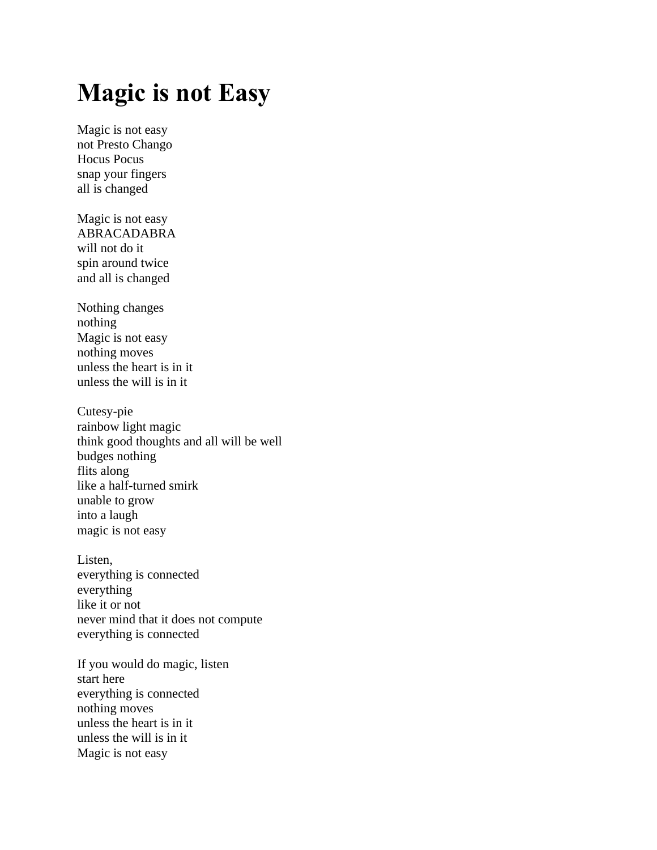## **Magic is not Easy**

Magic is not easy not Presto Chango Hocus Pocus snap your fingers all is changed

Magic is not easy ABRACADABRA will not do it spin around twice and all is changed

Nothing changes nothing Magic is not easy nothing moves unless the heart is in it unless the will is in it

Cutesy-pie rainbow light magic think good thoughts and all will be well budges nothing flits along like a half-turned smirk unable to grow into a laugh magic is not easy

Listen, everything is connected everything like it or not never mind that it does not compute everything is connected

If you would do magic, listen start here everything is connected nothing moves unless the heart is in it unless the will is in it Magic is not easy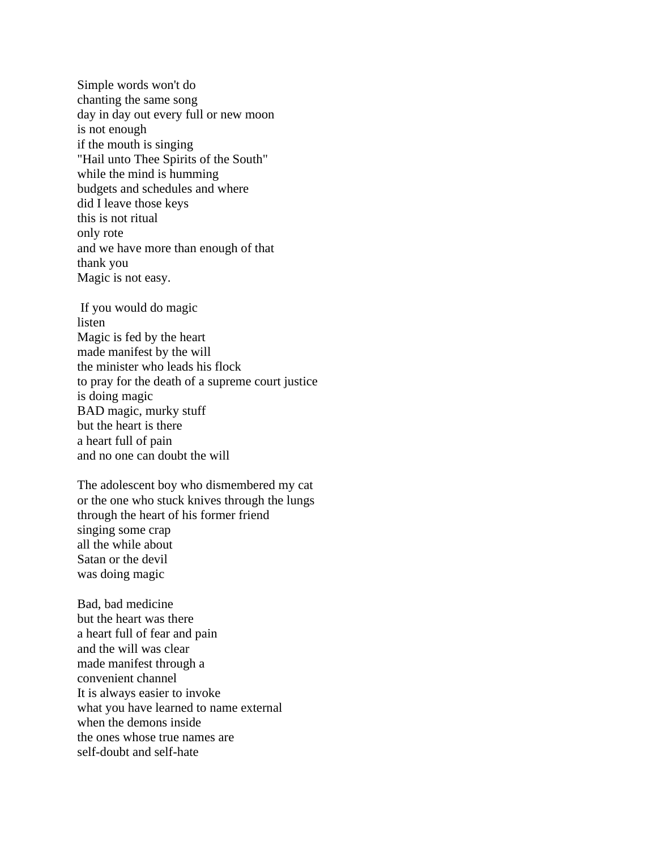Simple words won't do chanting the same song day in day out every full or new moon is not enough if the mouth is singing "Hail unto Thee Spirits of the South" while the mind is humming budgets and schedules and where did I leave those keys this is not ritual only rote and we have more than enough of that thank you Magic is not easy.

If you would do magic listen Magic is fed by the heart made manifest by the will the minister who leads his flock to pray for the death of a supreme court justice is doing magic BAD magic, murky stuff but the heart is there a heart full of pain and no one can doubt the will

The adolescent boy who dismembered my cat or the one who stuck knives through the lungs through the heart of his former friend singing some crap all the while about Satan or the devil was doing magic

Bad, bad medicine but the heart was there a heart full of fear and pain and the will was clear made manifest through a convenient channel It is always easier to invoke what you have learned to name external when the demons inside the ones whose true names are self-doubt and self-hate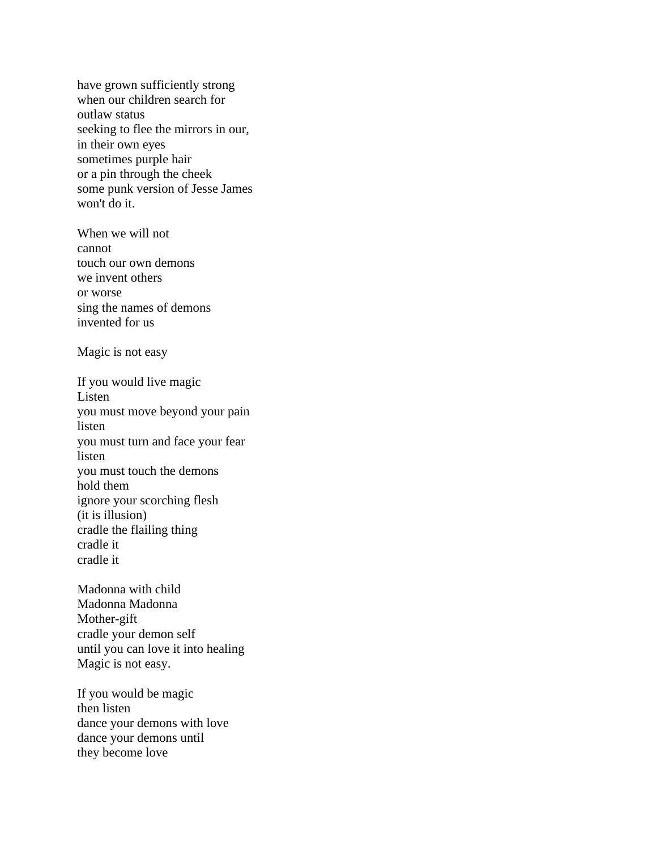have grown sufficiently strong when our children search for outlaw status seeking to flee the mirrors in our, in their own eyes sometimes purple hair or a pin through the cheek some punk version of Jesse James won't do it.

When we will not cannot touch our own demons we invent others or worse sing the names of demons invented for us

Magic is not easy

If you would live magic Listen you must move beyond your pain listen you must turn and face your fear listen you must touch the demons hold them ignore your scorching flesh (it is illusion) cradle the flailing thing cradle it cradle it

Madonna with child Madonna Madonna Mother-gift cradle your demon self until you can love it into healing Magic is not easy.

If you would be magic then listen dance your demons with love dance your demons until they become love